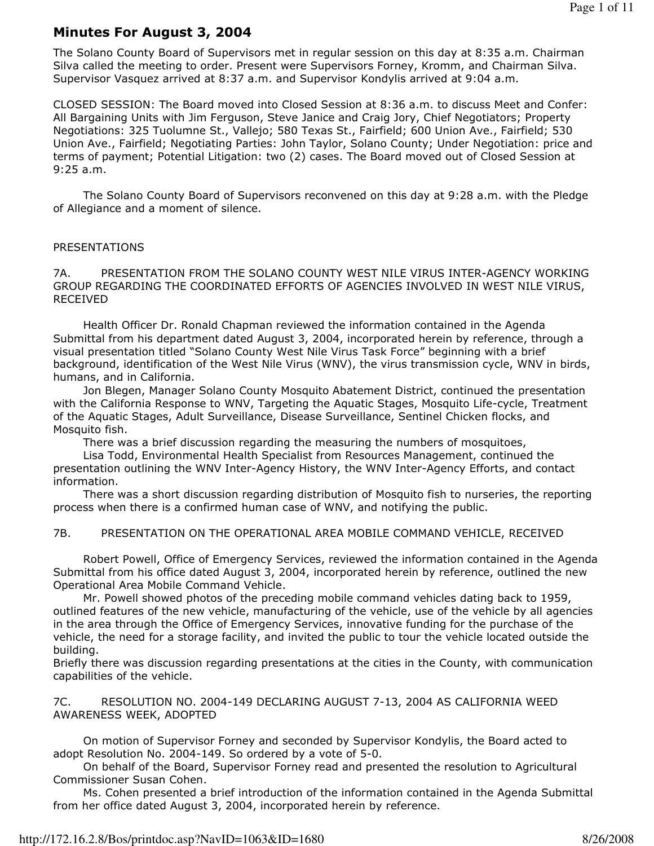## Minutes For August 3, 2004

The Solano County Board of Supervisors met in regular session on this day at 8:35 a.m. Chairman Silva called the meeting to order. Present were Supervisors Forney, Kromm, and Chairman Silva. Supervisor Vasquez arrived at 8:37 a.m. and Supervisor Kondylis arrived at 9:04 a.m.

CLOSED SESSION: The Board moved into Closed Session at 8:36 a.m. to discuss Meet and Confer: All Bargaining Units with Jim Ferguson, Steve Janice and Craig Jory, Chief Negotiators; Property Negotiations: 325 Tuolumne St., Vallejo; 580 Texas St., Fairfield; 600 Union Ave., Fairfield; 530 Union Ave., Fairfield; Negotiating Parties: John Taylor, Solano County; Under Negotiation: price and terms of payment; Potential Litigation: two (2) cases. The Board moved out of Closed Session at 9:25 a.m.

 The Solano County Board of Supervisors reconvened on this day at 9:28 a.m. with the Pledge of Allegiance and a moment of silence.

#### PRESENTATIONS

7A. PRESENTATION FROM THE SOLANO COUNTY WEST NILE VIRUS INTER-AGENCY WORKING GROUP REGARDING THE COORDINATED EFFORTS OF AGENCIES INVOLVED IN WEST NILE VIRUS, RECEIVED

 Health Officer Dr. Ronald Chapman reviewed the information contained in the Agenda Submittal from his department dated August 3, 2004, incorporated herein by reference, through a visual presentation titled "Solano County West Nile Virus Task Force" beginning with a brief background, identification of the West Nile Virus (WNV), the virus transmission cycle, WNV in birds, humans, and in California.

 Jon Blegen, Manager Solano County Mosquito Abatement District, continued the presentation with the California Response to WNV, Targeting the Aquatic Stages, Mosquito Life-cycle, Treatment of the Aquatic Stages, Adult Surveillance, Disease Surveillance, Sentinel Chicken flocks, and Mosquito fish.

There was a brief discussion regarding the measuring the numbers of mosquitoes,

 Lisa Todd, Environmental Health Specialist from Resources Management, continued the presentation outlining the WNV Inter-Agency History, the WNV Inter-Agency Efforts, and contact information.

 There was a short discussion regarding distribution of Mosquito fish to nurseries, the reporting process when there is a confirmed human case of WNV, and notifying the public.

#### 7B. PRESENTATION ON THE OPERATIONAL AREA MOBILE COMMAND VEHICLE, RECEIVED

 Robert Powell, Office of Emergency Services, reviewed the information contained in the Agenda Submittal from his office dated August 3, 2004, incorporated herein by reference, outlined the new Operational Area Mobile Command Vehicle.

 Mr. Powell showed photos of the preceding mobile command vehicles dating back to 1959, outlined features of the new vehicle, manufacturing of the vehicle, use of the vehicle by all agencies in the area through the Office of Emergency Services, innovative funding for the purchase of the vehicle, the need for a storage facility, and invited the public to tour the vehicle located outside the building.

Briefly there was discussion regarding presentations at the cities in the County, with communication capabilities of the vehicle.

7C. RESOLUTION NO. 2004-149 DECLARING AUGUST 7-13, 2004 AS CALIFORNIA WEED AWARENESS WEEK, ADOPTED

 On motion of Supervisor Forney and seconded by Supervisor Kondylis, the Board acted to adopt Resolution No. 2004-149. So ordered by a vote of 5-0.

 On behalf of the Board, Supervisor Forney read and presented the resolution to Agricultural Commissioner Susan Cohen.

 Ms. Cohen presented a brief introduction of the information contained in the Agenda Submittal from her office dated August 3, 2004, incorporated herein by reference.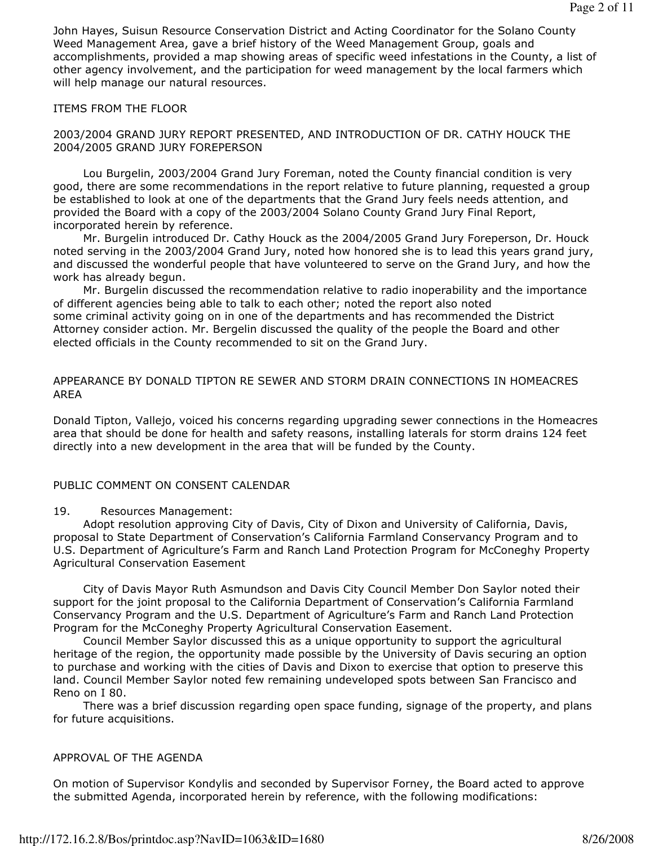John Hayes, Suisun Resource Conservation District and Acting Coordinator for the Solano County Weed Management Area, gave a brief history of the Weed Management Group, goals and accomplishments, provided a map showing areas of specific weed infestations in the County, a list of other agency involvement, and the participation for weed management by the local farmers which will help manage our natural resources.

### ITEMS FROM THE FLOOR

#### 2003/2004 GRAND JURY REPORT PRESENTED, AND INTRODUCTION OF DR. CATHY HOUCK THE 2004/2005 GRAND JURY FOREPERSON

 Lou Burgelin, 2003/2004 Grand Jury Foreman, noted the County financial condition is very good, there are some recommendations in the report relative to future planning, requested a group be established to look at one of the departments that the Grand Jury feels needs attention, and provided the Board with a copy of the 2003/2004 Solano County Grand Jury Final Report, incorporated herein by reference.

 Mr. Burgelin introduced Dr. Cathy Houck as the 2004/2005 Grand Jury Foreperson, Dr. Houck noted serving in the 2003/2004 Grand Jury, noted how honored she is to lead this years grand jury, and discussed the wonderful people that have volunteered to serve on the Grand Jury, and how the work has already begun.

 Mr. Burgelin discussed the recommendation relative to radio inoperability and the importance of different agencies being able to talk to each other; noted the report also noted some criminal activity going on in one of the departments and has recommended the District Attorney consider action. Mr. Bergelin discussed the quality of the people the Board and other elected officials in the County recommended to sit on the Grand Jury.

### APPEARANCE BY DONALD TIPTON RE SEWER AND STORM DRAIN CONNECTIONS IN HOMEACRES AREA

Donald Tipton, Vallejo, voiced his concerns regarding upgrading sewer connections in the Homeacres area that should be done for health and safety reasons, installing laterals for storm drains 124 feet directly into a new development in the area that will be funded by the County.

#### PUBLIC COMMENT ON CONSENT CALENDAR

#### 19. Resources Management:

 Adopt resolution approving City of Davis, City of Dixon and University of California, Davis, proposal to State Department of Conservation's California Farmland Conservancy Program and to U.S. Department of Agriculture's Farm and Ranch Land Protection Program for McConeghy Property Agricultural Conservation Easement

 City of Davis Mayor Ruth Asmundson and Davis City Council Member Don Saylor noted their support for the joint proposal to the California Department of Conservation's California Farmland Conservancy Program and the U.S. Department of Agriculture's Farm and Ranch Land Protection Program for the McConeghy Property Agricultural Conservation Easement.

 Council Member Saylor discussed this as a unique opportunity to support the agricultural heritage of the region, the opportunity made possible by the University of Davis securing an option to purchase and working with the cities of Davis and Dixon to exercise that option to preserve this land. Council Member Saylor noted few remaining undeveloped spots between San Francisco and Reno on I 80.

 There was a brief discussion regarding open space funding, signage of the property, and plans for future acquisitions.

#### APPROVAL OF THE AGENDA

On motion of Supervisor Kondylis and seconded by Supervisor Forney, the Board acted to approve the submitted Agenda, incorporated herein by reference, with the following modifications: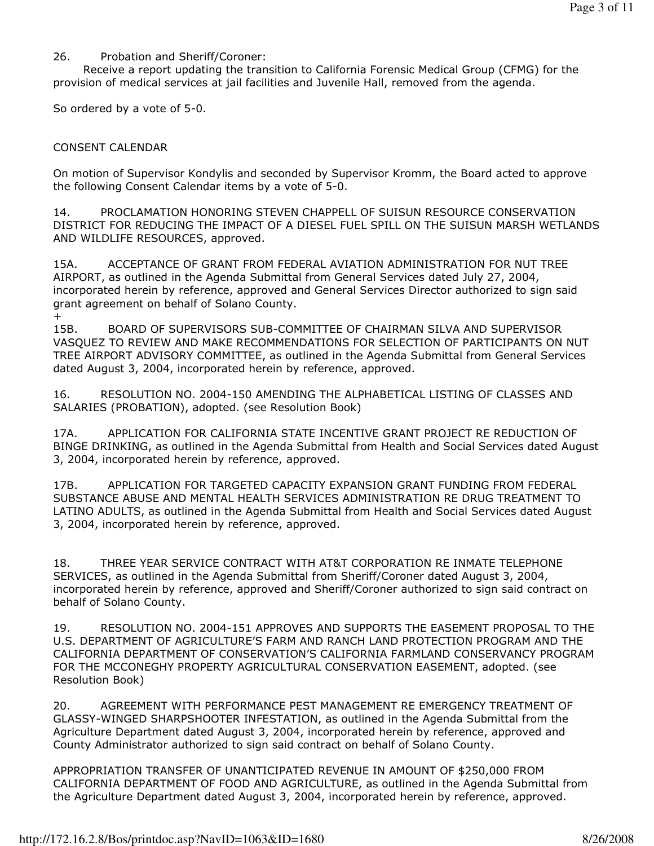### 26. Probation and Sheriff/Coroner:

 Receive a report updating the transition to California Forensic Medical Group (CFMG) for the provision of medical services at jail facilities and Juvenile Hall, removed from the agenda.

So ordered by a vote of 5-0.

## CONSENT CALENDAR

On motion of Supervisor Kondylis and seconded by Supervisor Kromm, the Board acted to approve the following Consent Calendar items by a vote of 5-0.

14. PROCLAMATION HONORING STEVEN CHAPPELL OF SUISUN RESOURCE CONSERVATION DISTRICT FOR REDUCING THE IMPACT OF A DIESEL FUEL SPILL ON THE SUISUN MARSH WETLANDS AND WILDLIFE RESOURCES, approved.

15A. ACCEPTANCE OF GRANT FROM FEDERAL AVIATION ADMINISTRATION FOR NUT TREE AIRPORT, as outlined in the Agenda Submittal from General Services dated July 27, 2004, incorporated herein by reference, approved and General Services Director authorized to sign said grant agreement on behalf of Solano County. +

15B. BOARD OF SUPERVISORS SUB-COMMITTEE OF CHAIRMAN SILVA AND SUPERVISOR VASQUEZ TO REVIEW AND MAKE RECOMMENDATIONS FOR SELECTION OF PARTICIPANTS ON NUT TREE AIRPORT ADVISORY COMMITTEE, as outlined in the Agenda Submittal from General Services dated August 3, 2004, incorporated herein by reference, approved.

16. RESOLUTION NO. 2004-150 AMENDING THE ALPHABETICAL LISTING OF CLASSES AND SALARIES (PROBATION), adopted. (see Resolution Book)

17A. APPLICATION FOR CALIFORNIA STATE INCENTIVE GRANT PROJECT RE REDUCTION OF BINGE DRINKING, as outlined in the Agenda Submittal from Health and Social Services dated August 3, 2004, incorporated herein by reference, approved.

17B. APPLICATION FOR TARGETED CAPACITY EXPANSION GRANT FUNDING FROM FEDERAL SUBSTANCE ABUSE AND MENTAL HEALTH SERVICES ADMINISTRATION RE DRUG TREATMENT TO LATINO ADULTS, as outlined in the Agenda Submittal from Health and Social Services dated August 3, 2004, incorporated herein by reference, approved.

18. THREE YEAR SERVICE CONTRACT WITH AT&T CORPORATION RE INMATE TELEPHONE SERVICES, as outlined in the Agenda Submittal from Sheriff/Coroner dated August 3, 2004, incorporated herein by reference, approved and Sheriff/Coroner authorized to sign said contract on behalf of Solano County.

19. RESOLUTION NO. 2004-151 APPROVES AND SUPPORTS THE EASEMENT PROPOSAL TO THE U.S. DEPARTMENT OF AGRICULTURE'S FARM AND RANCH LAND PROTECTION PROGRAM AND THE CALIFORNIA DEPARTMENT OF CONSERVATION'S CALIFORNIA FARMLAND CONSERVANCY PROGRAM FOR THE MCCONEGHY PROPERTY AGRICULTURAL CONSERVATION EASEMENT, adopted. (see Resolution Book)

20. AGREEMENT WITH PERFORMANCE PEST MANAGEMENT RE EMERGENCY TREATMENT OF GLASSY-WINGED SHARPSHOOTER INFESTATION, as outlined in the Agenda Submittal from the Agriculture Department dated August 3, 2004, incorporated herein by reference, approved and County Administrator authorized to sign said contract on behalf of Solano County.

APPROPRIATION TRANSFER OF UNANTICIPATED REVENUE IN AMOUNT OF \$250,000 FROM CALIFORNIA DEPARTMENT OF FOOD AND AGRICULTURE, as outlined in the Agenda Submittal from the Agriculture Department dated August 3, 2004, incorporated herein by reference, approved.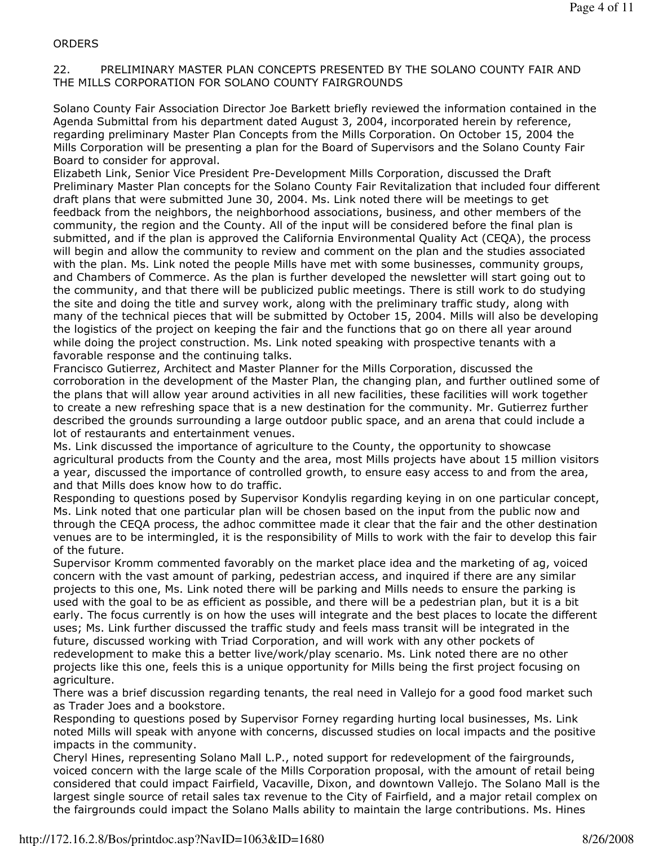#### **ORDERS**

#### 22. PRELIMINARY MASTER PLAN CONCEPTS PRESENTED BY THE SOLANO COUNTY FAIR AND THE MILLS CORPORATION FOR SOLANO COUNTY FAIRGROUNDS

Solano County Fair Association Director Joe Barkett briefly reviewed the information contained in the Agenda Submittal from his department dated August 3, 2004, incorporated herein by reference, regarding preliminary Master Plan Concepts from the Mills Corporation. On October 15, 2004 the Mills Corporation will be presenting a plan for the Board of Supervisors and the Solano County Fair Board to consider for approval.

Elizabeth Link, Senior Vice President Pre-Development Mills Corporation, discussed the Draft Preliminary Master Plan concepts for the Solano County Fair Revitalization that included four different draft plans that were submitted June 30, 2004. Ms. Link noted there will be meetings to get feedback from the neighbors, the neighborhood associations, business, and other members of the community, the region and the County. All of the input will be considered before the final plan is submitted, and if the plan is approved the California Environmental Quality Act (CEQA), the process will begin and allow the community to review and comment on the plan and the studies associated with the plan. Ms. Link noted the people Mills have met with some businesses, community groups, and Chambers of Commerce. As the plan is further developed the newsletter will start going out to the community, and that there will be publicized public meetings. There is still work to do studying the site and doing the title and survey work, along with the preliminary traffic study, along with many of the technical pieces that will be submitted by October 15, 2004. Mills will also be developing the logistics of the project on keeping the fair and the functions that go on there all year around while doing the project construction. Ms. Link noted speaking with prospective tenants with a favorable response and the continuing talks.

Francisco Gutierrez, Architect and Master Planner for the Mills Corporation, discussed the corroboration in the development of the Master Plan, the changing plan, and further outlined some of the plans that will allow year around activities in all new facilities, these facilities will work together to create a new refreshing space that is a new destination for the community. Mr. Gutierrez further described the grounds surrounding a large outdoor public space, and an arena that could include a lot of restaurants and entertainment venues.

Ms. Link discussed the importance of agriculture to the County, the opportunity to showcase agricultural products from the County and the area, most Mills projects have about 15 million visitors a year, discussed the importance of controlled growth, to ensure easy access to and from the area, and that Mills does know how to do traffic.

Responding to questions posed by Supervisor Kondylis regarding keying in on one particular concept, Ms. Link noted that one particular plan will be chosen based on the input from the public now and through the CEQA process, the adhoc committee made it clear that the fair and the other destination venues are to be intermingled, it is the responsibility of Mills to work with the fair to develop this fair of the future.

Supervisor Kromm commented favorably on the market place idea and the marketing of ag, voiced concern with the vast amount of parking, pedestrian access, and inquired if there are any similar projects to this one, Ms. Link noted there will be parking and Mills needs to ensure the parking is used with the goal to be as efficient as possible, and there will be a pedestrian plan, but it is a bit early. The focus currently is on how the uses will integrate and the best places to locate the different uses; Ms. Link further discussed the traffic study and feels mass transit will be integrated in the future, discussed working with Triad Corporation, and will work with any other pockets of redevelopment to make this a better live/work/play scenario. Ms. Link noted there are no other projects like this one, feels this is a unique opportunity for Mills being the first project focusing on agriculture.

There was a brief discussion regarding tenants, the real need in Vallejo for a good food market such as Trader Joes and a bookstore.

Responding to questions posed by Supervisor Forney regarding hurting local businesses, Ms. Link noted Mills will speak with anyone with concerns, discussed studies on local impacts and the positive impacts in the community.

Cheryl Hines, representing Solano Mall L.P., noted support for redevelopment of the fairgrounds, voiced concern with the large scale of the Mills Corporation proposal, with the amount of retail being considered that could impact Fairfield, Vacaville, Dixon, and downtown Vallejo. The Solano Mall is the largest single source of retail sales tax revenue to the City of Fairfield, and a major retail complex on the fairgrounds could impact the Solano Malls ability to maintain the large contributions. Ms. Hines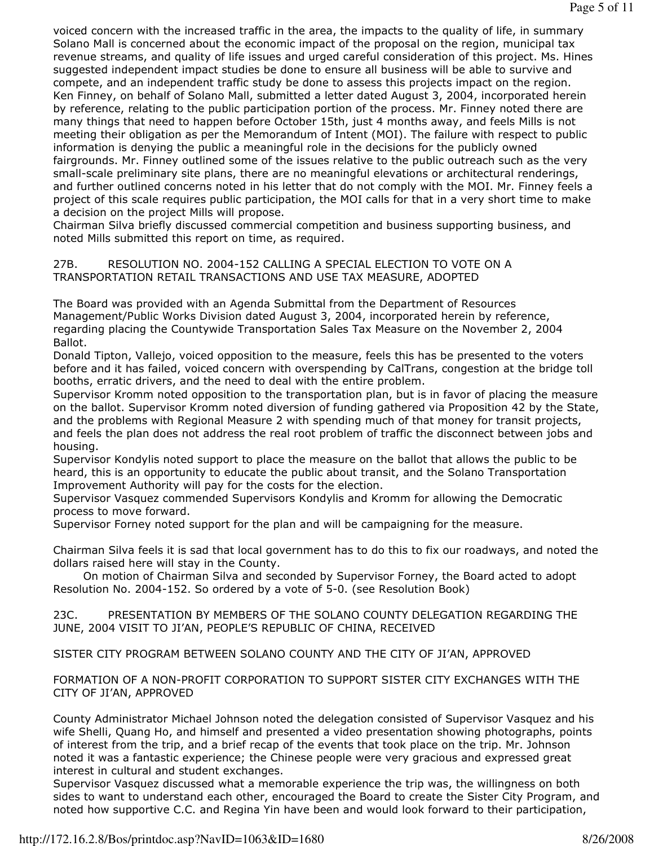voiced concern with the increased traffic in the area, the impacts to the quality of life, in summary Solano Mall is concerned about the economic impact of the proposal on the region, municipal tax revenue streams, and quality of life issues and urged careful consideration of this project. Ms. Hines suggested independent impact studies be done to ensure all business will be able to survive and compete, and an independent traffic study be done to assess this projects impact on the region. Ken Finney, on behalf of Solano Mall, submitted a letter dated August 3, 2004, incorporated herein by reference, relating to the public participation portion of the process. Mr. Finney noted there are many things that need to happen before October 15th, just 4 months away, and feels Mills is not meeting their obligation as per the Memorandum of Intent (MOI). The failure with respect to public information is denying the public a meaningful role in the decisions for the publicly owned fairgrounds. Mr. Finney outlined some of the issues relative to the public outreach such as the very small-scale preliminary site plans, there are no meaningful elevations or architectural renderings, and further outlined concerns noted in his letter that do not comply with the MOI. Mr. Finney feels a project of this scale requires public participation, the MOI calls for that in a very short time to make a decision on the project Mills will propose.

Chairman Silva briefly discussed commercial competition and business supporting business, and noted Mills submitted this report on time, as required.

27B. RESOLUTION NO. 2004-152 CALLING A SPECIAL ELECTION TO VOTE ON A TRANSPORTATION RETAIL TRANSACTIONS AND USE TAX MEASURE, ADOPTED

The Board was provided with an Agenda Submittal from the Department of Resources Management/Public Works Division dated August 3, 2004, incorporated herein by reference, regarding placing the Countywide Transportation Sales Tax Measure on the November 2, 2004 Ballot.

Donald Tipton, Vallejo, voiced opposition to the measure, feels this has be presented to the voters before and it has failed, voiced concern with overspending by CalTrans, congestion at the bridge toll booths, erratic drivers, and the need to deal with the entire problem.

Supervisor Kromm noted opposition to the transportation plan, but is in favor of placing the measure on the ballot. Supervisor Kromm noted diversion of funding gathered via Proposition 42 by the State, and the problems with Regional Measure 2 with spending much of that money for transit projects, and feels the plan does not address the real root problem of traffic the disconnect between jobs and housing.

Supervisor Kondylis noted support to place the measure on the ballot that allows the public to be heard, this is an opportunity to educate the public about transit, and the Solano Transportation Improvement Authority will pay for the costs for the election.

Supervisor Vasquez commended Supervisors Kondylis and Kromm for allowing the Democratic process to move forward.

Supervisor Forney noted support for the plan and will be campaigning for the measure.

Chairman Silva feels it is sad that local government has to do this to fix our roadways, and noted the dollars raised here will stay in the County.

 On motion of Chairman Silva and seconded by Supervisor Forney, the Board acted to adopt Resolution No. 2004-152. So ordered by a vote of 5-0. (see Resolution Book)

23C. PRESENTATION BY MEMBERS OF THE SOLANO COUNTY DELEGATION REGARDING THE JUNE, 2004 VISIT TO JI'AN, PEOPLE'S REPUBLIC OF CHINA, RECEIVED

SISTER CITY PROGRAM BETWEEN SOLANO COUNTY AND THE CITY OF JI'AN, APPROVED

FORMATION OF A NON-PROFIT CORPORATION TO SUPPORT SISTER CITY EXCHANGES WITH THE CITY OF JI'AN, APPROVED

County Administrator Michael Johnson noted the delegation consisted of Supervisor Vasquez and his wife Shelli, Quang Ho, and himself and presented a video presentation showing photographs, points of interest from the trip, and a brief recap of the events that took place on the trip. Mr. Johnson noted it was a fantastic experience; the Chinese people were very gracious and expressed great interest in cultural and student exchanges.

Supervisor Vasquez discussed what a memorable experience the trip was, the willingness on both sides to want to understand each other, encouraged the Board to create the Sister City Program, and noted how supportive C.C. and Regina Yin have been and would look forward to their participation,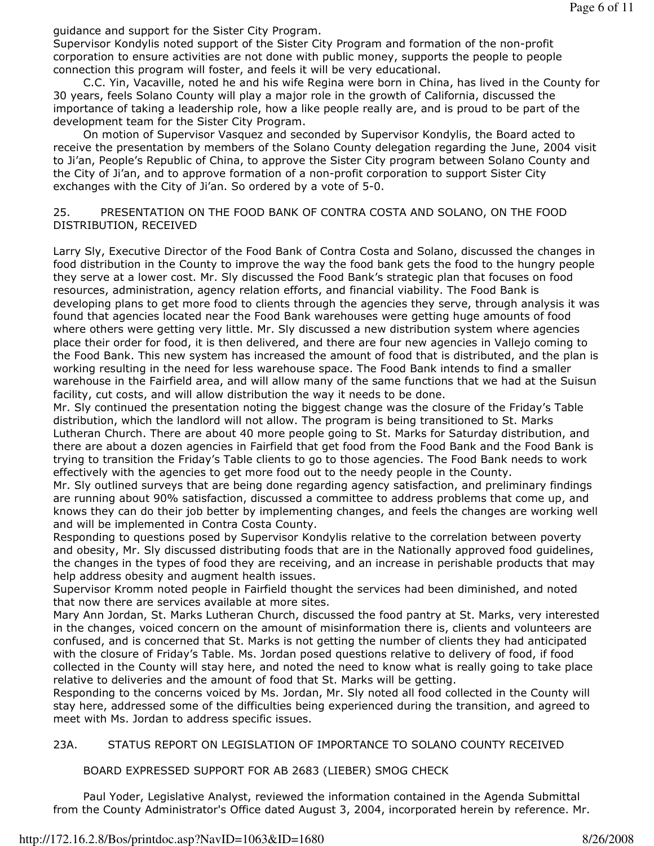guidance and support for the Sister City Program.

Supervisor Kondylis noted support of the Sister City Program and formation of the non-profit corporation to ensure activities are not done with public money, supports the people to people connection this program will foster, and feels it will be very educational.

 C.C. Yin, Vacaville, noted he and his wife Regina were born in China, has lived in the County for 30 years, feels Solano County will play a major role in the growth of California, discussed the importance of taking a leadership role, how a like people really are, and is proud to be part of the development team for the Sister City Program.

 On motion of Supervisor Vasquez and seconded by Supervisor Kondylis, the Board acted to receive the presentation by members of the Solano County delegation regarding the June, 2004 visit to Ji'an, People's Republic of China, to approve the Sister City program between Solano County and the City of Ji'an, and to approve formation of a non-profit corporation to support Sister City exchanges with the City of Ji'an. So ordered by a vote of 5-0.

#### 25. PRESENTATION ON THE FOOD BANK OF CONTRA COSTA AND SOLANO, ON THE FOOD DISTRIBUTION, RECEIVED

Larry Sly, Executive Director of the Food Bank of Contra Costa and Solano, discussed the changes in food distribution in the County to improve the way the food bank gets the food to the hungry people they serve at a lower cost. Mr. Sly discussed the Food Bank's strategic plan that focuses on food resources, administration, agency relation efforts, and financial viability. The Food Bank is developing plans to get more food to clients through the agencies they serve, through analysis it was found that agencies located near the Food Bank warehouses were getting huge amounts of food where others were getting very little. Mr. Sly discussed a new distribution system where agencies place their order for food, it is then delivered, and there are four new agencies in Vallejo coming to the Food Bank. This new system has increased the amount of food that is distributed, and the plan is working resulting in the need for less warehouse space. The Food Bank intends to find a smaller warehouse in the Fairfield area, and will allow many of the same functions that we had at the Suisun facility, cut costs, and will allow distribution the way it needs to be done.

Mr. Sly continued the presentation noting the biggest change was the closure of the Friday's Table distribution, which the landlord will not allow. The program is being transitioned to St. Marks Lutheran Church. There are about 40 more people going to St. Marks for Saturday distribution, and there are about a dozen agencies in Fairfield that get food from the Food Bank and the Food Bank is trying to transition the Friday's Table clients to go to those agencies. The Food Bank needs to work effectively with the agencies to get more food out to the needy people in the County.

Mr. Sly outlined surveys that are being done regarding agency satisfaction, and preliminary findings are running about 90% satisfaction, discussed a committee to address problems that come up, and knows they can do their job better by implementing changes, and feels the changes are working well and will be implemented in Contra Costa County.

Responding to questions posed by Supervisor Kondylis relative to the correlation between poverty and obesity, Mr. Sly discussed distributing foods that are in the Nationally approved food guidelines, the changes in the types of food they are receiving, and an increase in perishable products that may help address obesity and augment health issues.

Supervisor Kromm noted people in Fairfield thought the services had been diminished, and noted that now there are services available at more sites.

Mary Ann Jordan, St. Marks Lutheran Church, discussed the food pantry at St. Marks, very interested in the changes, voiced concern on the amount of misinformation there is, clients and volunteers are confused, and is concerned that St. Marks is not getting the number of clients they had anticipated with the closure of Friday's Table. Ms. Jordan posed questions relative to delivery of food, if food collected in the County will stay here, and noted the need to know what is really going to take place relative to deliveries and the amount of food that St. Marks will be getting.

Responding to the concerns voiced by Ms. Jordan, Mr. Sly noted all food collected in the County will stay here, addressed some of the difficulties being experienced during the transition, and agreed to meet with Ms. Jordan to address specific issues.

#### 23A. STATUS REPORT ON LEGISLATION OF IMPORTANCE TO SOLANO COUNTY RECEIVED

BOARD EXPRESSED SUPPORT FOR AB 2683 (LIEBER) SMOG CHECK

 Paul Yoder, Legislative Analyst, reviewed the information contained in the Agenda Submittal from the County Administrator's Office dated August 3, 2004, incorporated herein by reference. Mr.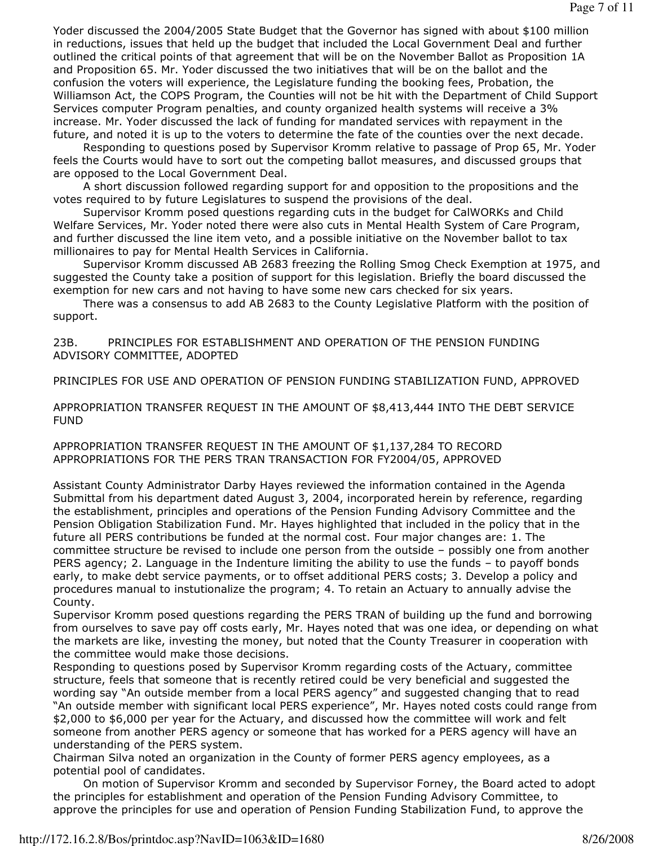Yoder discussed the 2004/2005 State Budget that the Governor has signed with about \$100 million in reductions, issues that held up the budget that included the Local Government Deal and further outlined the critical points of that agreement that will be on the November Ballot as Proposition 1A and Proposition 65. Mr. Yoder discussed the two initiatives that will be on the ballot and the confusion the voters will experience, the Legislature funding the booking fees, Probation, the Williamson Act, the COPS Program, the Counties will not be hit with the Department of Child Support Services computer Program penalties, and county organized health systems will receive a 3% increase. Mr. Yoder discussed the lack of funding for mandated services with repayment in the future, and noted it is up to the voters to determine the fate of the counties over the next decade.

 Responding to questions posed by Supervisor Kromm relative to passage of Prop 65, Mr. Yoder feels the Courts would have to sort out the competing ballot measures, and discussed groups that are opposed to the Local Government Deal.

 A short discussion followed regarding support for and opposition to the propositions and the votes required to by future Legislatures to suspend the provisions of the deal.

 Supervisor Kromm posed questions regarding cuts in the budget for CalWORKs and Child Welfare Services, Mr. Yoder noted there were also cuts in Mental Health System of Care Program, and further discussed the line item veto, and a possible initiative on the November ballot to tax millionaires to pay for Mental Health Services in California.

 Supervisor Kromm discussed AB 2683 freezing the Rolling Smog Check Exemption at 1975, and suggested the County take a position of support for this legislation. Briefly the board discussed the exemption for new cars and not having to have some new cars checked for six years.

 There was a consensus to add AB 2683 to the County Legislative Platform with the position of support.

23B. PRINCIPLES FOR ESTABLISHMENT AND OPERATION OF THE PENSION FUNDING ADVISORY COMMITTEE, ADOPTED

PRINCIPLES FOR USE AND OPERATION OF PENSION FUNDING STABILIZATION FUND, APPROVED

APPROPRIATION TRANSFER REQUEST IN THE AMOUNT OF \$8,413,444 INTO THE DEBT SERVICE FUND

APPROPRIATION TRANSFER REQUEST IN THE AMOUNT OF \$1,137,284 TO RECORD APPROPRIATIONS FOR THE PERS TRAN TRANSACTION FOR FY2004/05, APPROVED

Assistant County Administrator Darby Hayes reviewed the information contained in the Agenda Submittal from his department dated August 3, 2004, incorporated herein by reference, regarding the establishment, principles and operations of the Pension Funding Advisory Committee and the Pension Obligation Stabilization Fund. Mr. Hayes highlighted that included in the policy that in the future all PERS contributions be funded at the normal cost. Four major changes are: 1. The committee structure be revised to include one person from the outside – possibly one from another PERS agency; 2. Language in the Indenture limiting the ability to use the funds – to payoff bonds early, to make debt service payments, or to offset additional PERS costs; 3. Develop a policy and procedures manual to instutionalize the program; 4. To retain an Actuary to annually advise the County.

Supervisor Kromm posed questions regarding the PERS TRAN of building up the fund and borrowing from ourselves to save pay off costs early, Mr. Hayes noted that was one idea, or depending on what the markets are like, investing the money, but noted that the County Treasurer in cooperation with the committee would make those decisions.

Responding to questions posed by Supervisor Kromm regarding costs of the Actuary, committee structure, feels that someone that is recently retired could be very beneficial and suggested the wording say "An outside member from a local PERS agency" and suggested changing that to read "An outside member with significant local PERS experience", Mr. Hayes noted costs could range from \$2,000 to \$6,000 per year for the Actuary, and discussed how the committee will work and felt someone from another PERS agency or someone that has worked for a PERS agency will have an understanding of the PERS system.

Chairman Silva noted an organization in the County of former PERS agency employees, as a potential pool of candidates.

 On motion of Supervisor Kromm and seconded by Supervisor Forney, the Board acted to adopt the principles for establishment and operation of the Pension Funding Advisory Committee, to approve the principles for use and operation of Pension Funding Stabilization Fund, to approve the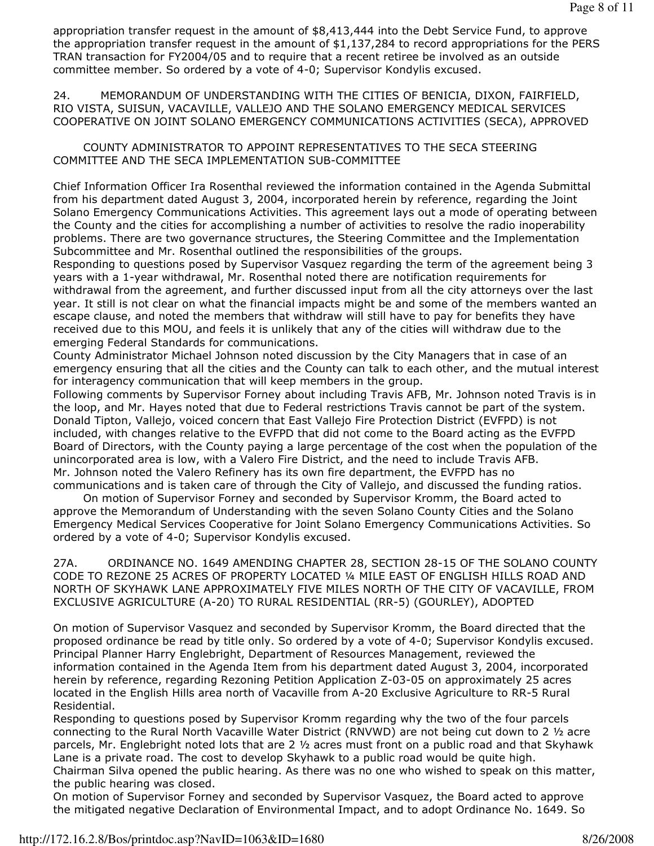appropriation transfer request in the amount of \$8,413,444 into the Debt Service Fund, to approve the appropriation transfer request in the amount of \$1,137,284 to record appropriations for the PERS TRAN transaction for FY2004/05 and to require that a recent retiree be involved as an outside committee member. So ordered by a vote of 4-0; Supervisor Kondylis excused.

24. MEMORANDUM OF UNDERSTANDING WITH THE CITIES OF BENICIA, DIXON, FAIRFIELD, RIO VISTA, SUISUN, VACAVILLE, VALLEJO AND THE SOLANO EMERGENCY MEDICAL SERVICES COOPERATIVE ON JOINT SOLANO EMERGENCY COMMUNICATIONS ACTIVITIES (SECA), APPROVED

 COUNTY ADMINISTRATOR TO APPOINT REPRESENTATIVES TO THE SECA STEERING COMMITTEE AND THE SECA IMPLEMENTATION SUB-COMMITTEE

Chief Information Officer Ira Rosenthal reviewed the information contained in the Agenda Submittal from his department dated August 3, 2004, incorporated herein by reference, regarding the Joint Solano Emergency Communications Activities. This agreement lays out a mode of operating between the County and the cities for accomplishing a number of activities to resolve the radio inoperability problems. There are two governance structures, the Steering Committee and the Implementation Subcommittee and Mr. Rosenthal outlined the responsibilities of the groups.

Responding to questions posed by Supervisor Vasquez regarding the term of the agreement being 3 years with a 1-year withdrawal, Mr. Rosenthal noted there are notification requirements for withdrawal from the agreement, and further discussed input from all the city attorneys over the last year. It still is not clear on what the financial impacts might be and some of the members wanted an escape clause, and noted the members that withdraw will still have to pay for benefits they have received due to this MOU, and feels it is unlikely that any of the cities will withdraw due to the emerging Federal Standards for communications.

County Administrator Michael Johnson noted discussion by the City Managers that in case of an emergency ensuring that all the cities and the County can talk to each other, and the mutual interest for interagency communication that will keep members in the group.

Following comments by Supervisor Forney about including Travis AFB, Mr. Johnson noted Travis is in the loop, and Mr. Hayes noted that due to Federal restrictions Travis cannot be part of the system. Donald Tipton, Vallejo, voiced concern that East Vallejo Fire Protection District (EVFPD) is not included, with changes relative to the EVFPD that did not come to the Board acting as the EVFPD Board of Directors, with the County paying a large percentage of the cost when the population of the unincorporated area is low, with a Valero Fire District, and the need to include Travis AFB. Mr. Johnson noted the Valero Refinery has its own fire department, the EVFPD has no communications and is taken care of through the City of Vallejo, and discussed the funding ratios.

 On motion of Supervisor Forney and seconded by Supervisor Kromm, the Board acted to approve the Memorandum of Understanding with the seven Solano County Cities and the Solano Emergency Medical Services Cooperative for Joint Solano Emergency Communications Activities. So ordered by a vote of 4-0; Supervisor Kondylis excused.

27A. ORDINANCE NO. 1649 AMENDING CHAPTER 28, SECTION 28-15 OF THE SOLANO COUNTY CODE TO REZONE 25 ACRES OF PROPERTY LOCATED ¼ MILE EAST OF ENGLISH HILLS ROAD AND NORTH OF SKYHAWK LANE APPROXIMATELY FIVE MILES NORTH OF THE CITY OF VACAVILLE, FROM EXCLUSIVE AGRICULTURE (A-20) TO RURAL RESIDENTIAL (RR-5) (GOURLEY), ADOPTED

On motion of Supervisor Vasquez and seconded by Supervisor Kromm, the Board directed that the proposed ordinance be read by title only. So ordered by a vote of 4-0; Supervisor Kondylis excused. Principal Planner Harry Englebright, Department of Resources Management, reviewed the information contained in the Agenda Item from his department dated August 3, 2004, incorporated herein by reference, regarding Rezoning Petition Application Z-03-05 on approximately 25 acres located in the English Hills area north of Vacaville from A-20 Exclusive Agriculture to RR-5 Rural Residential.

Responding to questions posed by Supervisor Kromm regarding why the two of the four parcels connecting to the Rural North Vacaville Water District (RNVWD) are not being cut down to 2 ½ acre parcels, Mr. Englebright noted lots that are 2 ½ acres must front on a public road and that Skyhawk Lane is a private road. The cost to develop Skyhawk to a public road would be quite high. Chairman Silva opened the public hearing. As there was no one who wished to speak on this matter, the public hearing was closed.

On motion of Supervisor Forney and seconded by Supervisor Vasquez, the Board acted to approve the mitigated negative Declaration of Environmental Impact, and to adopt Ordinance No. 1649. So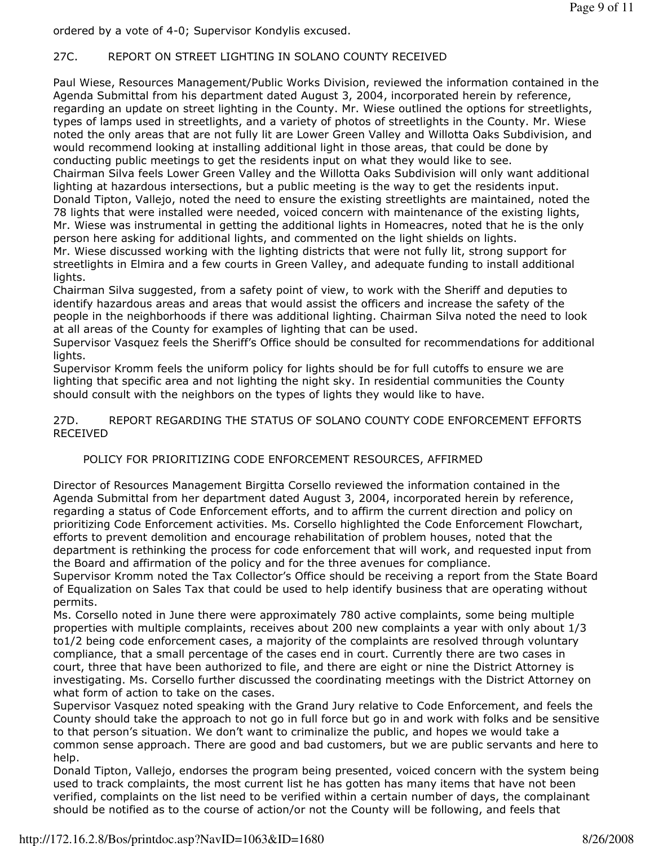ordered by a vote of 4-0; Supervisor Kondylis excused.

# 27C. REPORT ON STREET LIGHTING IN SOLANO COUNTY RECEIVED

Paul Wiese, Resources Management/Public Works Division, reviewed the information contained in the Agenda Submittal from his department dated August 3, 2004, incorporated herein by reference, regarding an update on street lighting in the County. Mr. Wiese outlined the options for streetlights, types of lamps used in streetlights, and a variety of photos of streetlights in the County. Mr. Wiese noted the only areas that are not fully lit are Lower Green Valley and Willotta Oaks Subdivision, and would recommend looking at installing additional light in those areas, that could be done by conducting public meetings to get the residents input on what they would like to see. Chairman Silva feels Lower Green Valley and the Willotta Oaks Subdivision will only want additional lighting at hazardous intersections, but a public meeting is the way to get the residents input. Donald Tipton, Vallejo, noted the need to ensure the existing streetlights are maintained, noted the 78 lights that were installed were needed, voiced concern with maintenance of the existing lights, Mr. Wiese was instrumental in getting the additional lights in Homeacres, noted that he is the only person here asking for additional lights, and commented on the light shields on lights.

Mr. Wiese discussed working with the lighting districts that were not fully lit, strong support for streetlights in Elmira and a few courts in Green Valley, and adequate funding to install additional lights.

Chairman Silva suggested, from a safety point of view, to work with the Sheriff and deputies to identify hazardous areas and areas that would assist the officers and increase the safety of the people in the neighborhoods if there was additional lighting. Chairman Silva noted the need to look at all areas of the County for examples of lighting that can be used.

Supervisor Vasquez feels the Sheriff's Office should be consulted for recommendations for additional lights.

Supervisor Kromm feels the uniform policy for lights should be for full cutoffs to ensure we are lighting that specific area and not lighting the night sky. In residential communities the County should consult with the neighbors on the types of lights they would like to have.

27D. REPORT REGARDING THE STATUS OF SOLANO COUNTY CODE ENFORCEMENT EFFORTS RECEIVED

## POLICY FOR PRIORITIZING CODE ENFORCEMENT RESOURCES, AFFIRMED

Director of Resources Management Birgitta Corsello reviewed the information contained in the Agenda Submittal from her department dated August 3, 2004, incorporated herein by reference, regarding a status of Code Enforcement efforts, and to affirm the current direction and policy on prioritizing Code Enforcement activities. Ms. Corsello highlighted the Code Enforcement Flowchart, efforts to prevent demolition and encourage rehabilitation of problem houses, noted that the department is rethinking the process for code enforcement that will work, and requested input from the Board and affirmation of the policy and for the three avenues for compliance.

Supervisor Kromm noted the Tax Collector's Office should be receiving a report from the State Board of Equalization on Sales Tax that could be used to help identify business that are operating without permits.

Ms. Corsello noted in June there were approximately 780 active complaints, some being multiple properties with multiple complaints, receives about 200 new complaints a year with only about 1/3 to1/2 being code enforcement cases, a majority of the complaints are resolved through voluntary compliance, that a small percentage of the cases end in court. Currently there are two cases in court, three that have been authorized to file, and there are eight or nine the District Attorney is investigating. Ms. Corsello further discussed the coordinating meetings with the District Attorney on what form of action to take on the cases.

Supervisor Vasquez noted speaking with the Grand Jury relative to Code Enforcement, and feels the County should take the approach to not go in full force but go in and work with folks and be sensitive to that person's situation. We don't want to criminalize the public, and hopes we would take a common sense approach. There are good and bad customers, but we are public servants and here to help.

Donald Tipton, Vallejo, endorses the program being presented, voiced concern with the system being used to track complaints, the most current list he has gotten has many items that have not been verified, complaints on the list need to be verified within a certain number of days, the complainant should be notified as to the course of action/or not the County will be following, and feels that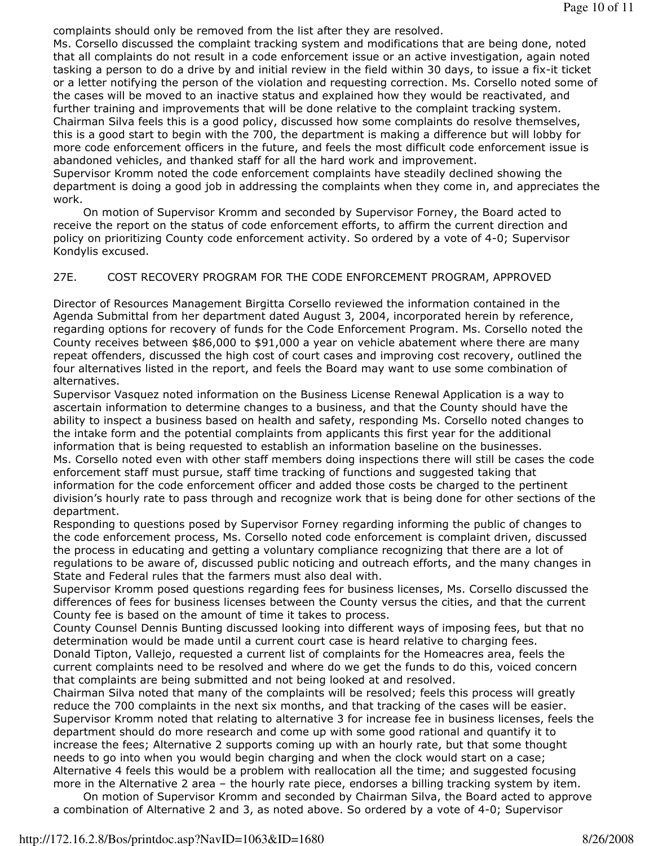complaints should only be removed from the list after they are resolved.

Ms. Corsello discussed the complaint tracking system and modifications that are being done, noted that all complaints do not result in a code enforcement issue or an active investigation, again noted tasking a person to do a drive by and initial review in the field within 30 days, to issue a fix-it ticket or a letter notifying the person of the violation and requesting correction. Ms. Corsello noted some of the cases will be moved to an inactive status and explained how they would be reactivated, and further training and improvements that will be done relative to the complaint tracking system. Chairman Silva feels this is a good policy, discussed how some complaints do resolve themselves, this is a good start to begin with the 700, the department is making a difference but will lobby for more code enforcement officers in the future, and feels the most difficult code enforcement issue is abandoned vehicles, and thanked staff for all the hard work and improvement.

Supervisor Kromm noted the code enforcement complaints have steadily declined showing the department is doing a good job in addressing the complaints when they come in, and appreciates the work.

 On motion of Supervisor Kromm and seconded by Supervisor Forney, the Board acted to receive the report on the status of code enforcement efforts, to affirm the current direction and policy on prioritizing County code enforcement activity. So ordered by a vote of 4-0; Supervisor Kondylis excused.

## 27E. COST RECOVERY PROGRAM FOR THE CODE ENFORCEMENT PROGRAM, APPROVED

Director of Resources Management Birgitta Corsello reviewed the information contained in the Agenda Submittal from her department dated August 3, 2004, incorporated herein by reference, regarding options for recovery of funds for the Code Enforcement Program. Ms. Corsello noted the County receives between \$86,000 to \$91,000 a year on vehicle abatement where there are many repeat offenders, discussed the high cost of court cases and improving cost recovery, outlined the four alternatives listed in the report, and feels the Board may want to use some combination of alternatives.

Supervisor Vasquez noted information on the Business License Renewal Application is a way to ascertain information to determine changes to a business, and that the County should have the ability to inspect a business based on health and safety, responding Ms. Corsello noted changes to the intake form and the potential complaints from applicants this first year for the additional information that is being requested to establish an information baseline on the businesses. Ms. Corsello noted even with other staff members doing inspections there will still be cases the code enforcement staff must pursue, staff time tracking of functions and suggested taking that information for the code enforcement officer and added those costs be charged to the pertinent division's hourly rate to pass through and recognize work that is being done for other sections of the department.

Responding to questions posed by Supervisor Forney regarding informing the public of changes to the code enforcement process, Ms. Corsello noted code enforcement is complaint driven, discussed the process in educating and getting a voluntary compliance recognizing that there are a lot of regulations to be aware of, discussed public noticing and outreach efforts, and the many changes in State and Federal rules that the farmers must also deal with.

Supervisor Kromm posed questions regarding fees for business licenses, Ms. Corsello discussed the differences of fees for business licenses between the County versus the cities, and that the current County fee is based on the amount of time it takes to process.

County Counsel Dennis Bunting discussed looking into different ways of imposing fees, but that no determination would be made until a current court case is heard relative to charging fees. Donald Tipton, Vallejo, requested a current list of complaints for the Homeacres area, feels the current complaints need to be resolved and where do we get the funds to do this, voiced concern that complaints are being submitted and not being looked at and resolved.

Chairman Silva noted that many of the complaints will be resolved; feels this process will greatly reduce the 700 complaints in the next six months, and that tracking of the cases will be easier. Supervisor Kromm noted that relating to alternative 3 for increase fee in business licenses, feels the department should do more research and come up with some good rational and quantify it to increase the fees; Alternative 2 supports coming up with an hourly rate, but that some thought needs to go into when you would begin charging and when the clock would start on a case; Alternative 4 feels this would be a problem with reallocation all the time; and suggested focusing more in the Alternative 2 area – the hourly rate piece, endorses a billing tracking system by item.

 On motion of Supervisor Kromm and seconded by Chairman Silva, the Board acted to approve a combination of Alternative 2 and 3, as noted above. So ordered by a vote of 4-0; Supervisor